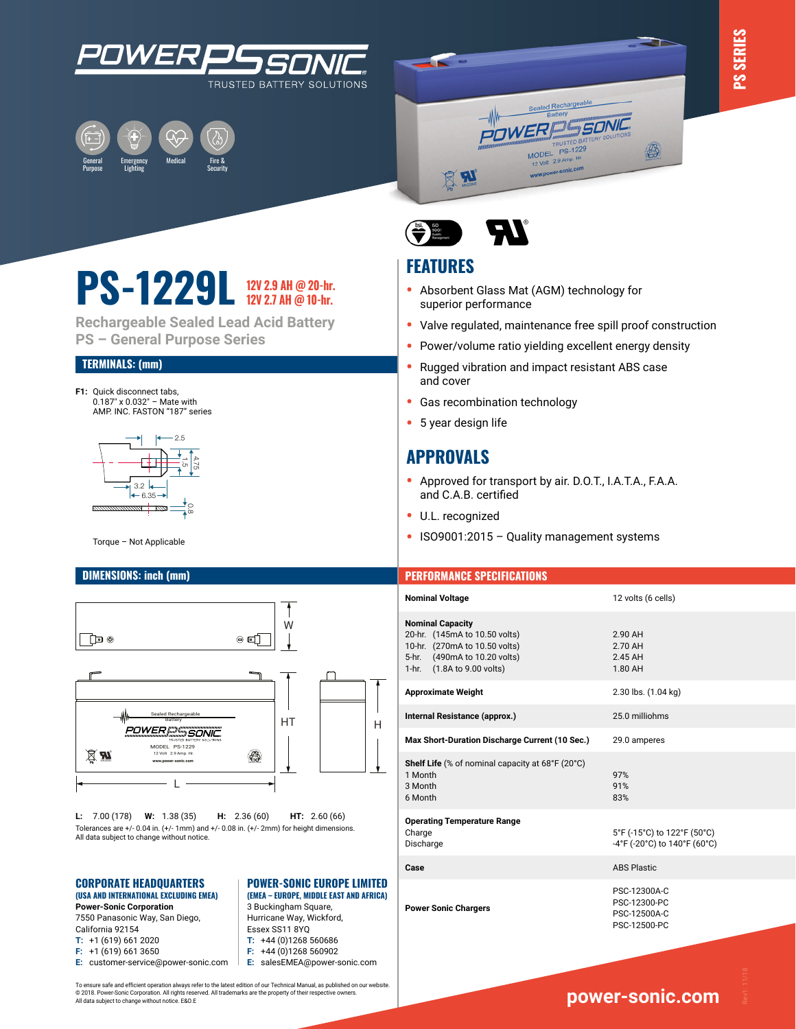





# **PS-1229L 12V 2.9 AH @ 20-hr. 12V 2.7 AH @ 10-hr.**

**Rechargeable Sealed Lead Acid Battery PS – General Purpose Series**

### **TERMINALS: (mm)**

**F1:** Quick disconnect tabs, 0.187" x 0.032" – Mate with AMP. INC. FASTON "187" series



Torque - Not Applicable



**L:** 7.00 (178) **W:** 1.38 (35) **H:** 2.36 (60) **HT:** 2.60 (66) Tolerances are +/- 0.04 in. (+/- 1mm) and +/- 0.08 in. (+/- 2mm) for height dimensions. All data subject to change without notice.

### **CORPORATE HEADQUARTERS (USA AND INTERNATIONAL EXCLUDING EMEA)** RPORATE HEADQUARTERS **POWER-SONIC EUROPE LIMITED**

**Power-Sonic Corporation** 7550 Panasonic Way, San Diego, California 92154

- **T:** +1 (619) 661 2020
- **F:** +1 (619) 661 3650
- 
- **E:** customer-service@power-sonic.com

**(EMEA – EUROPE, MIDDLE EAST AND AFRICA)**<br>All data subject to contact the conductions. All data subject to change with a subject to change with the subject to change with the subject of the subject of the subject of the su 3 Buckingham Square,

- Hurricane Way, Wickford, Essex SS11 8YQ **T:** +44 (0)1268 560686
- **F:** +44 (0)1268 560902
- **E:** salesEMEA@power-sonic.com
- To ensure safe and efficient operation always refer to the latest edition of our Technical Manual, as published on our website. © 2018. Power-Sonic Corporation. All rights reserved. All trademarks are the property of their respective owners. All data subject to change without notice. E&O.E



## **FEATURES**

- **•** Absorbent Glass Mat (AGM) technology for superior performance
- **•** Valve regulated, maintenance free spill proof construction
- **•** Power/volume ratio yielding excellent energy density
- **•** Rugged vibration and impact resistant ABS case and cover
- **•** Gas recombination technology
- **•** 5 year design life

### **APPROVALS**

- **•** Approved for transport by air. D.O.T., I.A.T.A., F.A.A. and C.A.B. certified
- **•** U.L. recognized
- **•** ISO9001:2015 Quality management systems

### **DIMENSIONS: inch (mm) PERFORMANCE SPECIFICATIONS**

| <b>Nominal Voltage</b>                                                                                                                                  | 12 volts (6 cells)                                           |
|---------------------------------------------------------------------------------------------------------------------------------------------------------|--------------------------------------------------------------|
| <b>Nominal Capacity</b><br>20-hr. (145mA to 10.50 volts)<br>10-hr. (270mA to 10.50 volts)<br>5-hr. (490mA to 10.20 volts)<br>1-hr. (1.8A to 9.00 volts) | 2.90 AH<br>2.70 AH<br>2.45 AH<br>1.80 AH                     |
| <b>Approximate Weight</b>                                                                                                                               | 2.30 lbs. (1.04 kg)                                          |
| Internal Resistance (approx.)                                                                                                                           | 25.0 milliohms                                               |
| Max Short-Duration Discharge Current (10 Sec.)                                                                                                          | 29.0 amperes                                                 |
| Shelf Life (% of nominal capacity at 68°F (20°C)<br>1 Month<br>3 Month<br>6 Month                                                                       | 97%<br>91%<br>83%                                            |
| <b>Operating Temperature Range</b><br>Charge<br>Discharge                                                                                               | 5°F (-15°C) to 122°F (50°C)<br>-4°F (-20°C) to 140°F (60°C)  |
| Case                                                                                                                                                    | <b>ABS Plastic</b>                                           |
| <b>Power Sonic Chargers</b>                                                                                                                             | PSC-12300A-C<br>PSC-12300-PC<br>PSC-12500A-C<br>PSC-12500-PC |
|                                                                                                                                                         |                                                              |

### **ww[w.power-sonic.com](http://www.power-sonic.com)**